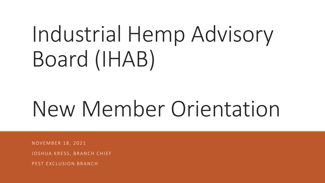# Industrial Hemp Advisory Board (IHAB)

# New Member Orientation

N O V E M B E R 1 8 , 2 0 2 1

JOSHUA KRESS, BRANCH CHIEF

P F S T E X C LUSION BRANCH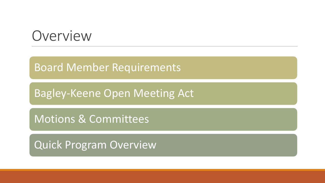### Overview

### Board Member Requirements

Bagley-Keene Open Meeting Act

Motions & Committees

Quick Program Overview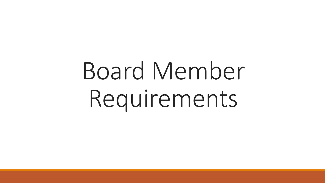# Board Member Requirements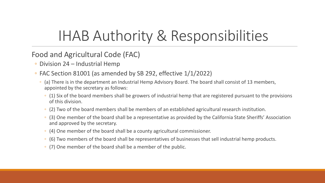## IHAB Authority & Responsibilities

### Food and Agricultural Code (FAC)

- Division 24 Industrial Hemp
- FAC Section 81001 (as amended by SB 292, effective 1/1/2022)
	- ◦ (a) There is in the department an Industrial Hemp Advisory Board. The board shall consist of 13 members, appointed by the secretary as follows:
		- $\cdot$  (1) Six of the board members shall be growers of industrial hemp that are registered pursuant to the provisions of this division.
		- (2) Two of the board members shall be members of an established agricultural research institution.
		- (3) One member of the board shall be a representative as provided by the California State Sheriffs' Association and approved by the secretary.
		- (4) One member of the board shall be a county agricultural commissioner.
		- (6) Two members of the board shall be representatives of businesses that sell industrial hemp products.
		- (7) One member of the board shall be a member of the public.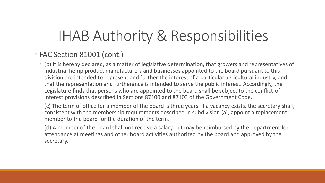## IHAB Authority & Responsibilities

### ◦ FAC Section 81001 (cont.)

- division are intended to represent and further the interest of a particular agricultural industry, and interest provisions described in Sections 87100 and 87103 of the Government Code. ◦ (b) It is hereby declared, as a matter of legislative determination, that growers and representatives of industrial hemp product manufacturers and businesses appointed to the board pursuant to this that the representation and furtherance is intended to serve the public interest. Accordingly, the Legislature finds that persons who are appointed to the board shall be subject to the conflict-of-
- ◦ (c) The term of office for a member of the board is three years. If a vacancy exists, the secretary shall, consistent with the membership requirements described in subdivision (a), appoint a replacement member to the board for the duration of the term.
- ◦ (d) A member of the board shall not receive a salary but may be reimbursed by the department for attendance at meetings and other board activities authorized by the board and approved by the secretary.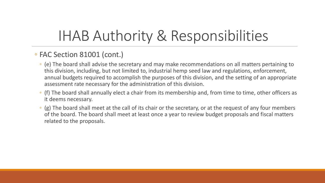## IHAB Authority & Responsibilities

### ◦ FAC Section 81001 (cont.)

- this division, including, but not limited to, industrial hemp seed law and regulations, enforcement, ◦ (e) The board shall advise the secretary and may make recommendations on all matters pertaining to annual budgets required to accomplish the purposes of this division, and the setting of an appropriate assessment rate necessary for the administration of this division.
- (f) The board shall annually elect a chair from its membership and, from time to time, other officers as it deems necessary.
- $\cdot$  (g) The board shall meet at the call of its chair or the secretary, or at the request of any four members of the board. The board shall meet at least once a year to review budget proposals and fiscal matters related to the proposals.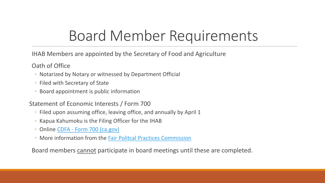## Board Member Requirements

IHAB Members are appointed by the Secretary of Food and Agriculture

Oath of Office

- Notarized by Notary or witnessed by Department Official
- Filed with Secretary of State
- Board appointment is public information

Statement of Economic Interests / Form 700

- Filed upon assuming office, leaving office, and annually by April 1
- Kapua Kahumoku is the Filing Officer for the IHAB
- Online CDFA [Form 700 \(ca.gov\)](https://www.cdfa.ca.gov/Form700/)
- More information from the [Fair Politcal Practices Commission](https://www.fppc.ca.gov/)

Board members cannot participate in board meetings until these are completed.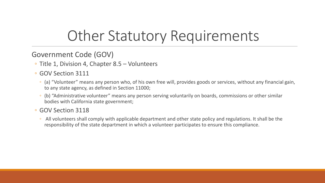## Other Statutory Requirements

### Government Code (GOV)

- Title 1, Division 4, Chapter 8.5 Volunteers
- GOV Section 3111
	- (a) "Volunteer" means any person who, of his own free will, provides goods or services, without any financial gain, to any state agency, as defined in Section 11000;
	- ◦ (b) "Administrative volunteer" means any person serving voluntarily on boards, commissions or other similar bodies with California state government;

#### ◦ GOV Section 3118

 ◦ All volunteers shall comply with applicable department and other state policy and regulations. It shall be the responsibility of the state department in which a volunteer participates to ensure this compliance.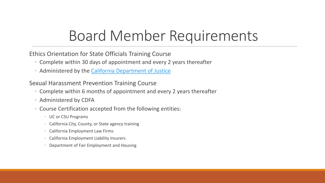### Board Member Requirements

Ethics Orientation for State Officials Training Course

- Complete within 30 days of appointment and every 2 years thereafter
- Administered by the [California Department of Justice](https://oag.ca.gov/ethics)

Sexual Harassment Prevention Training Course

- Complete within 6 months of appointment and every 2 years thereafter
- Administered by CDFA
- Course Certification accepted from the following entities:
	- UC or CSU Programs
	- California City, County, or State agency training
	- California Employment Law Firms
	- California Employment Liability Insurers
	- Department of Fair Employment and Housing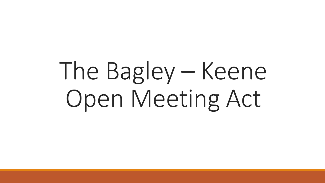# The Bagley – Keene Open Meeting Act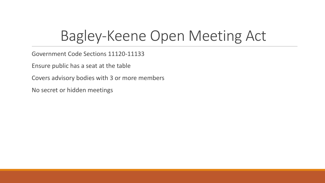### Bagley-Keene Open Meeting Act

Government Code Sections 11120-11133

Ensure public has a seat at the table

Covers advisory bodies with 3 or more members

No secret or hidden meetings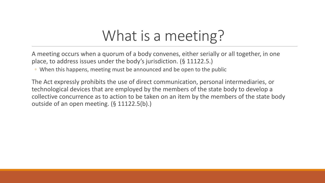### What is a meeting?

A meeting occurs when a quorum of a body convenes, either serially or all together, in one place, to address issues under the body's jurisdiction. (§ 11122.5.)

◦ When this happens, meeting must be announced and be open to the public

The Act expressly prohibits the use of direct communication, personal intermediaries, or technological devices that are employed by the members of the state body to develop a collective concurrence as to action to be taken on an item by the members of the state body outside of an open meeting. (§ 11122.5(b).)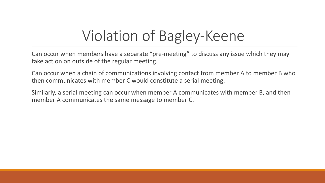## Violation of Bagley -Keene

Can occur when members have a separate "pre-meeting" to discuss any issue which they may take action on outside of the regular meeting.

Can occur when a chain of communications involving contact from member A to member B who then communicates with member C would constitute a serial meeting.

Similarly, a serial meeting can occur when member A communicates with member B, and then member A communicates the same message to member C.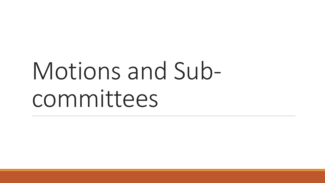# Motions and Subcommittees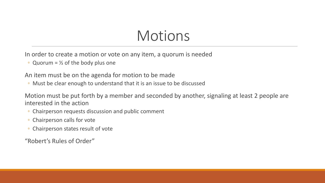### **Motions**

In order to create a motion or vote on any item, a quorum is needed

• Quorum =  $\frac{1}{2}$  of the body plus one

An item must be on the agenda for motion to be made

◦ Must be clear enough to understand that it is an issue to be discussed

 Motion must be put forth by a member and seconded by another, signaling at least 2 people are interested in the action

- Chairperson requests discussion and public comment
- Chairperson calls for vote
- Chairperson states result of vote

"Robert's Rules of Order"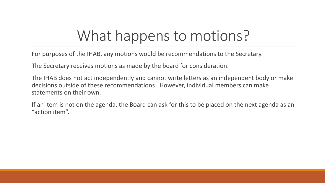### What happens to motions?

For purposes of the IHAB, any motions would be recommendations to the Secretary.

The Secretary receives motions as made by the board for consideration.

The IHAB does not act independently and cannot write letters as an independent body or make decisions outside of these recommendations. However, individual members can make statements on their own.

If an item is not on the agenda, the Board can ask for this to be placed on the next agenda as an "action item".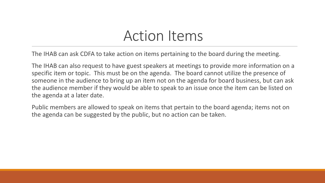### Action Items

The IHAB can ask CDFA to take action on items pertaining to the board during the meeting.

 someone in the audience to bring up an item not on the agenda for board business, but can ask The IHAB can also request to have guest speakers at meetings to provide more information on a specific item or topic. This must be on the agenda. The board cannot utilize the presence of the audience member if they would be able to speak to an issue once the item can be listed on the agenda at a later date.

 Public members are allowed to speak on items that pertain to the board agenda; items not on the agenda can be suggested by the public, but no action can be taken.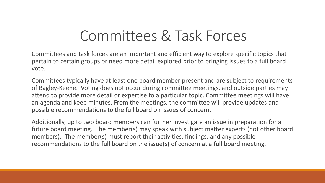## Committees & Task Forces

Committees and task forces are an important and efficient way to explore specific topics that pertain to certain groups or need more detail explored prior to bringing issues to a full board vote.

Committees typically have at least one board member present and are subject to requirements of Bagley-Keene. Voting does not occur during committee meetings, and outside parties may attend to provide more detail or expertise to a particular topic. Committee meetings will have an agenda and keep minutes. From the meetings, the committee will provide updates and possible recommendations to the full board on issues of concern.

Additionally, up to two board members can further investigate an issue in preparation for a future board meeting. The member(s) may speak with subject matter experts (not other board members). The member(s) must report their activities, findings, and any possible recommendations to the full board on the issue(s) of concern at a full board meeting.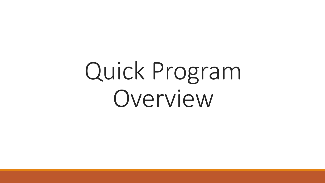# Quick Program Overview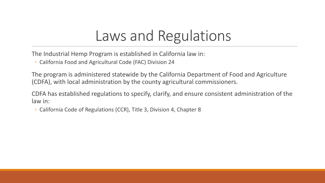## Laws and Regulations

The Industrial Hemp Program is established in California law in:

◦ California Food and Agricultural Code (FAC) Division 24

The program is administered statewide by the California Department of Food and Agriculture (CDFA), with local administration by the county agricultural commissioners.

CDFA has established regulations to specify, clarify, and ensure consistent administration of the law in:

◦ California Code of Regulations (CCR), Title 3, Division 4, Chapter 8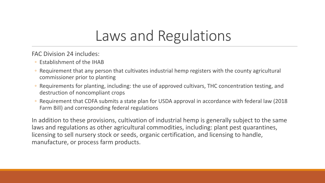### Laws and Regulations

FAC Division 24 includes:

- Establishment of the IHAB
- Requirement that any person that cultivates industrial hemp registers with the county agricultural commissioner prior to planting
- ◦ Requirements for planting, including: the use of approved cultivars, THC concentration testing, and destruction of noncompliant crops
- Requirement that CDFA submits a state plan for USDA approval in accordance with federal law (2018 Farm Bill) and corresponding federal regulations

In addition to these provisions, cultivation of industrial hemp is generally subject to the same laws and regulations as other agricultural commodities, including: plant pest quarantines, licensing to sell nursery stock or seeds, organic certification, and licensing to handle, manufacture, or process farm products.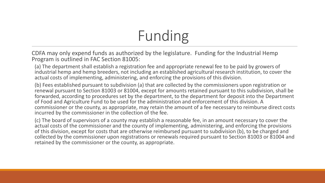## Funding

 CDFA may only expend funds as authorized by the legislature. Funding for the Industrial Hemp Program is outlined in FAC Section 81005:

 (a) The department shall establish a registration fee and appropriate renewal fee to be paid by growers of industrial hemp and hemp breeders, not including an established agricultural research institution, to cover the actual costs of implementing, administering, and enforcing the provisions of this division.

 (b) Fees established pursuant to subdivision (a) that are collected by the commissioners upon registration or renewal pursuant to Section 81003 or 81004, except for amounts retained pursuant to this subdivision, shall be forwarded, according to procedures set by the department, to the department for deposit into the Department of Food and Agriculture Fund to be used for the administration and enforcement of this division. A commissioner or the county, as appropriate, may retain the amount of a fee necessary to reimburse direct costs incurred by the commissioner in the collection of the fee.

 (c) The board of supervisors of a county may establish a reasonable fee, in an amount necessary to cover the actual costs of the commissioner and the county of implementing, administering, and enforcing the provisions of this division, except for costs that are otherwise reimbursed pursuant to subdivision (b), to be charged and collected by the commissioner upon registrations or renewals required pursuant to Section 81003 or 81004 and retained by the commissioner or the county, as appropriate.